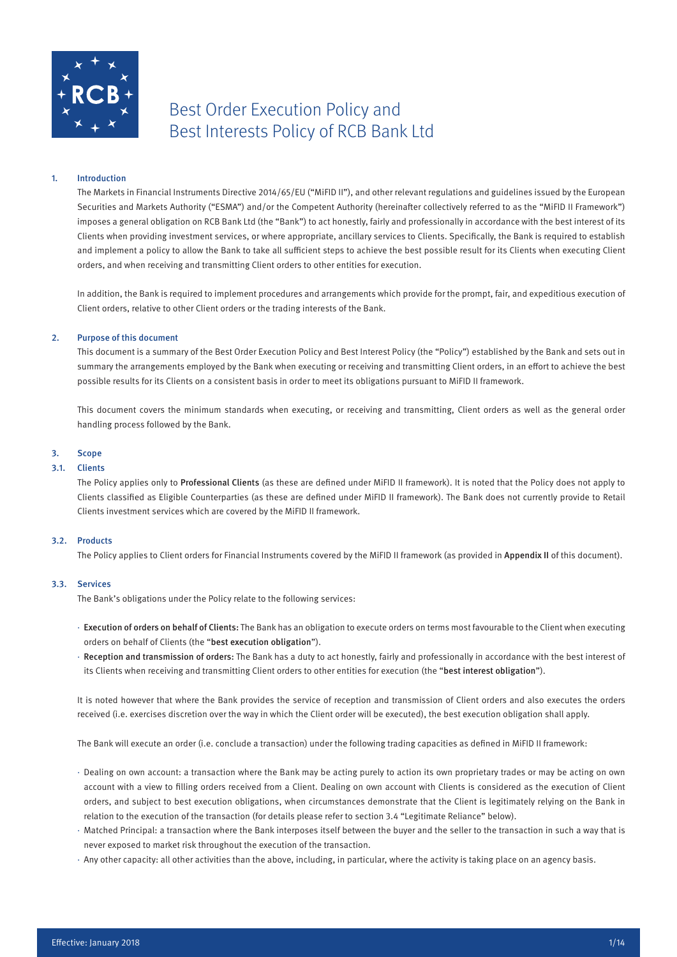

# Best Order Execution Policy and Best Interests Policy of RCB Bank Ltd

# 1. Introduction

The Markets in Financial Instruments Directive 2014/65/EU ("MiFID II"), and other relevant regulations and guidelines issued by the European Securities and Markets Authority ("ESMA") and/or the Competent Authority (hereinafter collectively referred to as the "MiFID II Framework") imposes a general obligation on RCB Bank Ltd (the "Bank") to act honestly, fairly and professionally in accordance with the best interest of its Clients when providing investment services, or where appropriate, ancillary services to Clients. Specifically, the Bank is required to establish and implement a policy to allow the Bank to take all sufficient steps to achieve the best possible result for its Clients when executing Client orders, and when receiving and transmitting Client orders to other entities for execution.

In addition, the Bank is required to implement procedures and arrangements which provide for the prompt, fair, and expeditious execution of Client orders, relative to other Client orders or the trading interests of the Bank.

# 2. Purpose of this document

This document is a summary of the Best Order Execution Policy and Best Interest Policy (the "Policy") established by the Bank and sets out in summary the arrangements employed by the Bank when executing or receiving and transmitting Client orders, in an effort to achieve the best possible results for its Clients on a consistent basis in order to meet its obligations pursuant to MiFID II framework.

This document covers the minimum standards when executing, or receiving and transmitting, Client orders as well as the general order handling process followed by the Bank.

# 3. Scope

# 3.1. Clients

The Policy applies only to Professional Clients (as these are defined under MiFID II framework). It is noted that the Policy does not apply to Clients classified as Eligible Counterparties (as these are defined under MiFID II framework). The Bank does not currently provide to Retail Clients investment services which are covered by the MiFID II framework.

# 3.2. Products

The Policy applies to Client orders for Financial Instruments covered by the MiFID II framework (as provided in Appendix II of this document).

# 3.3. Services

The Bank's obligations under the Policy relate to the following services:

- · Execution of orders on behalf of Clients: The Bank has an obligation to execute orders on terms most favourable to the Client when executing orders on behalf of Clients (the "best execution obligation").
- · Reception and transmission of orders: The Bank has a duty to act honestly, fairly and professionally in accordance with the best interest of its Clients when receiving and transmitting Client orders to other entities for execution (the "best interest obligation").

It is noted however that where the Bank provides the service of reception and transmission of Client orders and also executes the orders received (i.e. exercises discretion over the way in which the Client order will be executed), the best execution obligation shall apply.

The Bank will execute an order (i.e. conclude a transaction) under the following trading capacities as defined in MiFID II framework:

- · Dealing on own account: a transaction where the Bank may be acting purely to action its own proprietary trades or may be acting on own account with a view to filling orders received from a Client. Dealing on own account with Clients is considered as the execution of Client orders, and subject to best execution obligations, when circumstances demonstrate that the Client is legitimately relying on the Bank in relation to the execution of the transaction (for details please refer to section 3.4 "Legitimate Reliance" below).
- · Matched Principal: a transaction where the Bank interposes itself between the buyer and the seller to the transaction in such a way that is never exposed to market risk throughout the execution of the transaction.
- · Any other capacity: all other activities than the above, including, in particular, where the activity is taking place on an agency basis.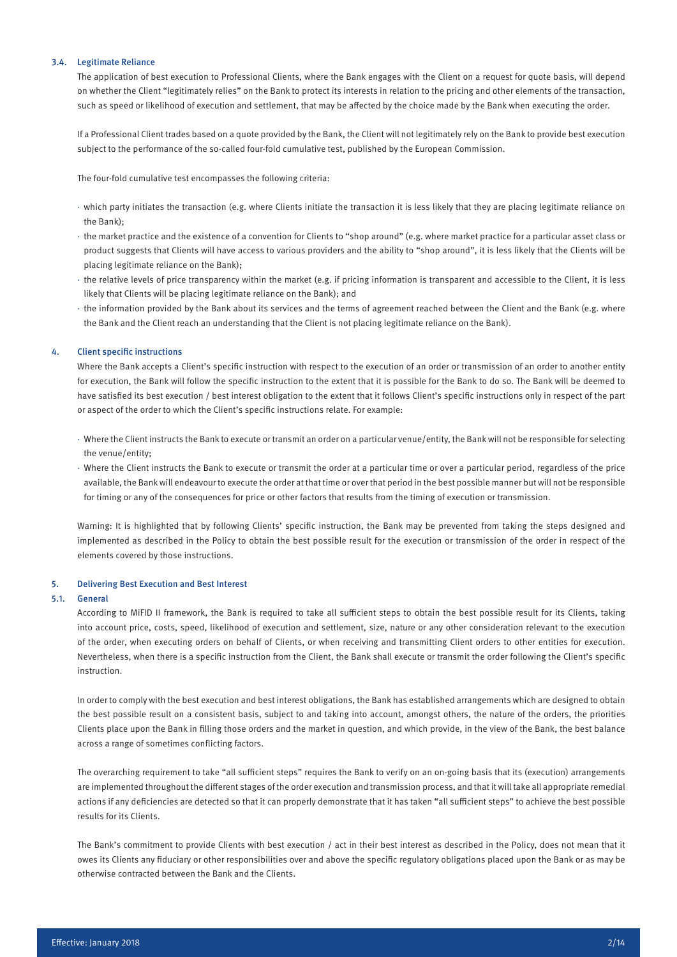# 3.4. Legitimate Reliance

The application of best execution to Professional Clients, where the Bank engages with the Client on a request for quote basis, will depend on whether the Client "legitimately relies" on the Bank to protect its interests in relation to the pricing and other elements of the transaction, such as speed or likelihood of execution and settlement, that may be affected by the choice made by the Bank when executing the order.

If a Professional Client trades based on a quote provided by the Bank, the Client will not legitimately rely on the Bank to provide best execution subject to the performance of the so-called four-fold cumulative test, published by the European Commission.

The four-fold cumulative test encompasses the following criteria:

- · which party initiates the transaction (e.g. where Clients initiate the transaction it is less likely that they are placing legitimate reliance on the Bank);
- · the market practice and the existence of a convention for Clients to "shop around" (e.g. where market practice for a particular asset class or product suggests that Clients will have access to various providers and the ability to "shop around", it is less likely that the Clients will be placing legitimate reliance on the Bank);
- · the relative levels of price transparency within the market (e.g. if pricing information is transparent and accessible to the Client, it is less likely that Clients will be placing legitimate reliance on the Bank); and
- · the information provided by the Bank about its services and the terms of agreement reached between the Client and the Bank (e.g. where the Bank and the Client reach an understanding that the Client is not placing legitimate reliance on the Bank).

# 4. Client specific instructions

Where the Bank accepts a Client's specific instruction with respect to the execution of an order or transmission of an order to another entity for execution, the Bank will follow the specific instruction to the extent that it is possible for the Bank to do so. The Bank will be deemed to have satisfied its best execution / best interest obligation to the extent that it follows Client's specific instructions only in respect of the part or aspect of the order to which the Client's specific instructions relate. For example:

- · Where the Client instructs the Bank to execute or transmit an order on a particular venue/entity, the Bank will not be responsible for selecting the venue/entity;
- · Where the Client instructs the Bank to execute or transmit the order at a particular time or over a particular period, regardless of the price available, the Bank will endeavour to execute the order at that time or over that period in the best possible manner but will not be responsible for timing or any of the consequences for price or other factors that results from the timing of execution or transmission.

Warning: It is highlighted that by following Clients' specific instruction, the Bank may be prevented from taking the steps designed and implemented as described in the Policy to obtain the best possible result for the execution or transmission of the order in respect of the elements covered by those instructions.

#### 5. Delivering Best Execution and Best Interest

# 5.1. General

According to MiFID II framework, the Bank is required to take all sufficient steps to obtain the best possible result for its Clients, taking into account price, costs, speed, likelihood of execution and settlement, size, nature or any other consideration relevant to the execution of the order, when executing orders on behalf of Clients, or when receiving and transmitting Client orders to other entities for execution. Nevertheless, when there is a specific instruction from the Client, the Bank shall execute or transmit the order following the Client's specific instruction.

In order to comply with the best execution and best interest obligations, the Bank has established arrangements which are designed to obtain the best possible result on a consistent basis, subject to and taking into account, amongst others, the nature of the orders, the priorities Clients place upon the Bank in filling those orders and the market in question, and which provide, in the view of the Bank, the best balance across a range of sometimes conflicting factors.

The overarching requirement to take "all sufficient steps" requires the Bank to verify on an on-going basis that its (execution) arrangements are implemented throughout the different stages of the order execution and transmission process, and that it will take all appropriate remedial actions if any deficiencies are detected so that it can properly demonstrate that it has taken "all sufficient steps" to achieve the best possible results for its Clients.

The Bank's commitment to provide Clients with best execution / act in their best interest as described in the Policy, does not mean that it owes its Clients any fiduciary or other responsibilities over and above the specific regulatory obligations placed upon the Bank or as may be otherwise contracted between the Bank and the Clients.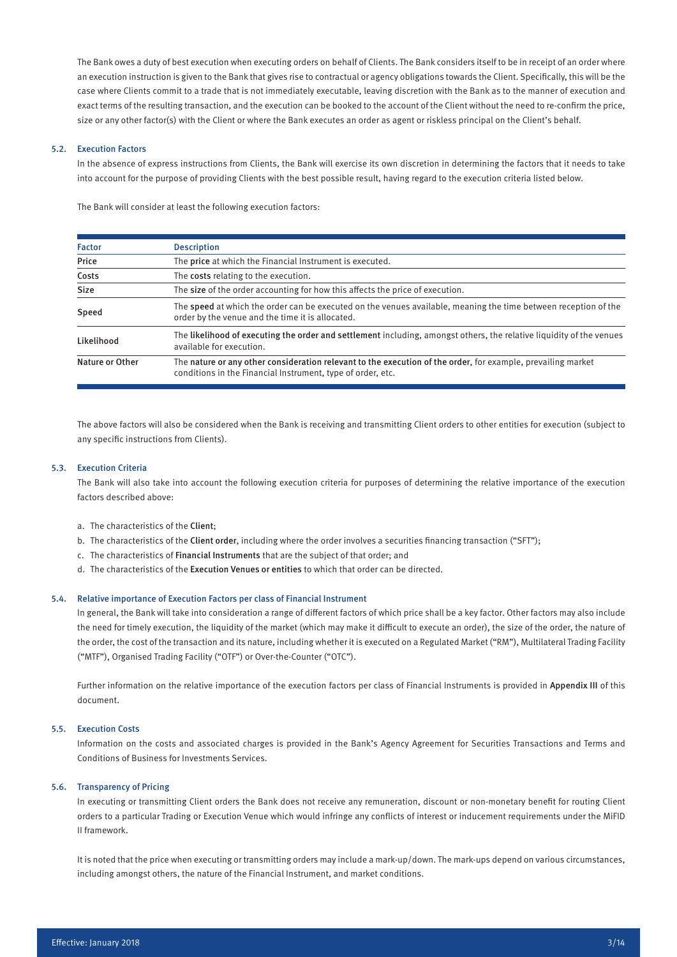The Bank owes a duty of best execution when executing orders on behalf of Clients. The Bank considers itself to be in receipt of an order where an execution instruction is given to the Bank that gives rise to contractual or agency obligations towards the Client. Specifically, this will be the case where Clients commit to a trade that is not immediately executable, leaving discretion with the Bank as to the manner of execution and exact terms of the resulting transaction, and the execution can be booked to the account of the Client without the need to re-confirm the price, size or any other factor(s) with the Client or where the Bank executes an order as agent or riskless principal on the Client's behalf.

# 5.2. Execution Factors

In the absence of express instructions from Clients, the Bank will exercise its own discretion in determining the factors that it needs to take into account for the purpose of providing Clients with the best possible result, having regard to the execution criteria listed below.

The Bank will consider at least the following execution factors:

| <b>Factor</b>   | <b>Description</b>                                                                                                                                                          |  |  |  |  |  |
|-----------------|-----------------------------------------------------------------------------------------------------------------------------------------------------------------------------|--|--|--|--|--|
| Price           | The price at which the Financial Instrument is executed.                                                                                                                    |  |  |  |  |  |
| Costs           | The costs relating to the execution.                                                                                                                                        |  |  |  |  |  |
| <b>Size</b>     | The size of the order accounting for how this affects the price of execution.                                                                                               |  |  |  |  |  |
| Speed           | The speed at which the order can be executed on the venues available, meaning the time between reception of the<br>order by the venue and the time it is allocated.         |  |  |  |  |  |
| Likelihood      | The likelihood of executing the order and settlement including, amongst others, the relative liquidity of the venues<br>available for execution.                            |  |  |  |  |  |
| Nature or Other | The nature or any other consideration relevant to the execution of the order, for example, prevailing market<br>conditions in the Financial Instrument, type of order, etc. |  |  |  |  |  |

The above factors will also be considered when the Bank is receiving and transmitting Client orders to other entities for execution (subject to any specific instructions from Clients).

# 5.3. Execution Criteria

The Bank will also take into account the following execution criteria for purposes of determining the relative importance of the execution factors described above:

- a. The characteristics of the Client;
- b. The characteristics of the Client order, including where the order involves a securities financing transaction ("SFT");
- c. The characteristics of Financial Instruments that are the subject of that order; and
- d. The characteristics of the Execution Venues or entities to which that order can be directed.

#### 5.4. Relative importance of Execution Factors per class of Financial Instrument

In general, the Bank will take into consideration a range of different factors of which price shall be a key factor. Other factors may also include the need for timely execution, the liquidity of the market (which may make it difficult to execute an order), the size of the order, the nature of the order, the cost of the transaction and its nature, including whether it is executed on a Regulated Market ("RM"), Multilateral Trading Facility ("MTF"), Organised Trading Facility ("OTF") or Over-the-Counter ("OTC").

Further information on the relative importance of the execution factors per class of Financial Instruments is provided in Appendix III of this document.

# 5.5. Execution Costs

Information on the costs and associated charges is provided in the Bank's Agency Agreement for Securities Transactions and Terms and Conditions of Business for Investments Services.

# 5.6. Transparency of Pricing

In executing or transmitting Client orders the Bank does not receive any remuneration, discount or non-monetary benefit for routing Client orders to a particular Trading or Execution Venue which would infringe any conflicts of interest or inducement requirements under the MiFID II framework.

It is noted that the price when executing or transmitting orders may include a mark-up/down. The mark-ups depend on various circumstances, including amongst others, the nature of the Financial Instrument, and market conditions.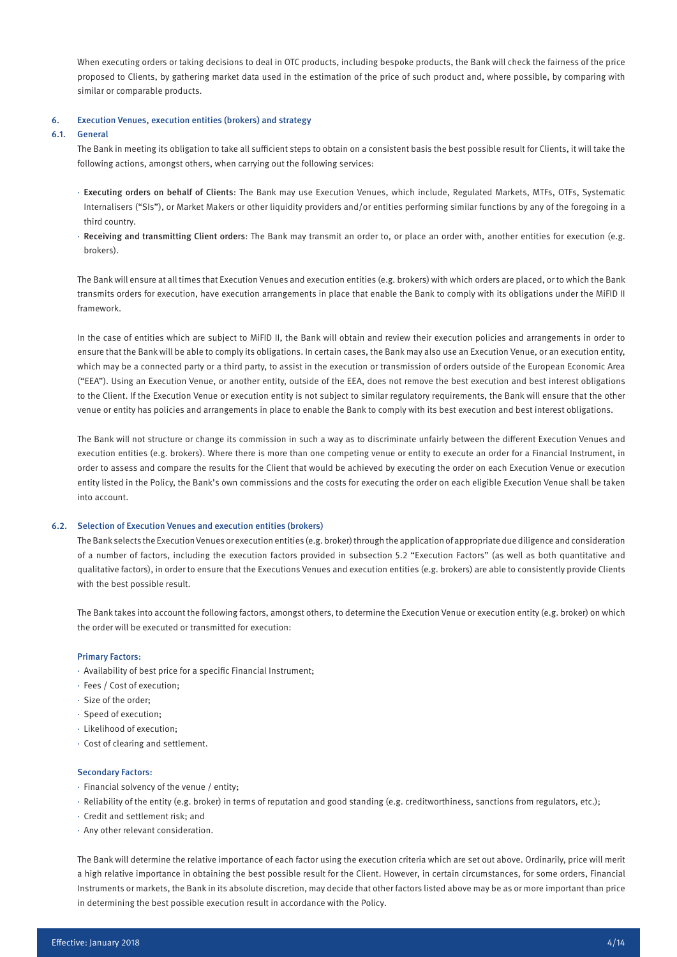When executing orders or taking decisions to deal in OTC products, including bespoke products, the Bank will check the fairness of the price proposed to Clients, by gathering market data used in the estimation of the price of such product and, where possible, by comparing with similar or comparable products.

#### 6. Execution Venues, execution entities (brokers) and strategy

#### 6.1. General

The Bank in meeting its obligation to take all sufficient steps to obtain on a consistent basis the best possible result for Clients, it will take the following actions, amongst others, when carrying out the following services:

- · Executing orders on behalf of Clients: The Bank may use Execution Venues, which include, Regulated Markets, MTFs, OTFs, Systematic Internalisers ("SIs"), or Market Makers or other liquidity providers and/or entities performing similar functions by any of the foregoing in a third country.
- · Receiving and transmitting Client orders: The Bank may transmit an order to, or place an order with, another entities for execution (e.g. brokers).

The Bank will ensure at all times that Execution Venues and execution entities (e.g. brokers) with which orders are placed, or to which the Bank transmits orders for execution, have execution arrangements in place that enable the Bank to comply with its obligations under the MiFID II framework.

In the case of entities which are subject to MiFID II, the Bank will obtain and review their execution policies and arrangements in order to ensure that the Bank will be able to comply its obligations. In certain cases, the Bank may also use an Execution Venue, or an execution entity, which may be a connected party or a third party, to assist in the execution or transmission of orders outside of the European Economic Area ("EEA"). Using an Execution Venue, or another entity, outside of the EEA, does not remove the best execution and best interest obligations to the Client. If the Execution Venue or execution entity is not subject to similar regulatory requirements, the Bank will ensure that the other venue or entity has policies and arrangements in place to enable the Bank to comply with its best execution and best interest obligations.

The Bank will not structure or change its commission in such a way as to discriminate unfairly between the different Execution Venues and execution entities (e.g. brokers). Where there is more than one competing venue or entity to execute an order for a Financial Instrument, in order to assess and compare the results for the Client that would be achieved by executing the order on each Execution Venue or execution entity listed in the Policy, the Bank's own commissions and the costs for executing the order on each eligible Execution Venue shall be taken into account.

#### 6.2. Selection of Execution Venues and execution entities (brokers)

The Bank selects the Execution Venues or execution entities (e.g. broker) through the application of appropriate due diligence and consideration of a number of factors, including the execution factors provided in subsection 5.2 "Execution Factors" (as well as both quantitative and qualitative factors), in order to ensure that the Executions Venues and execution entities (e.g. brokers) are able to consistently provide Clients with the best possible result.

The Bank takes into account the following factors, amongst others, to determine the Execution Venue or execution entity (e.g. broker) on which the order will be executed or transmitted for execution:

#### Primary Factors:

- · Availability of best price for a specific Financial Instrument;
- · Fees / Cost of execution;
- · Size of the order;
- · Speed of execution;
- · Likelihood of execution;
- · Cost of clearing and settlement.

#### Secondary Factors:

- · Financial solvency of the venue / entity;
- · Reliability of the entity (e.g. broker) in terms of reputation and good standing (e.g. creditworthiness, sanctions from regulators, etc.);
- · Credit and settlement risk; and
- · Any other relevant consideration.

The Bank will determine the relative importance of each factor using the execution criteria which are set out above. Ordinarily, price will merit a high relative importance in obtaining the best possible result for the Client. However, in certain circumstances, for some orders, Financial Instruments or markets, the Bank in its absolute discretion, may decide that other factors listed above may be as or more important than price in determining the best possible execution result in accordance with the Policy.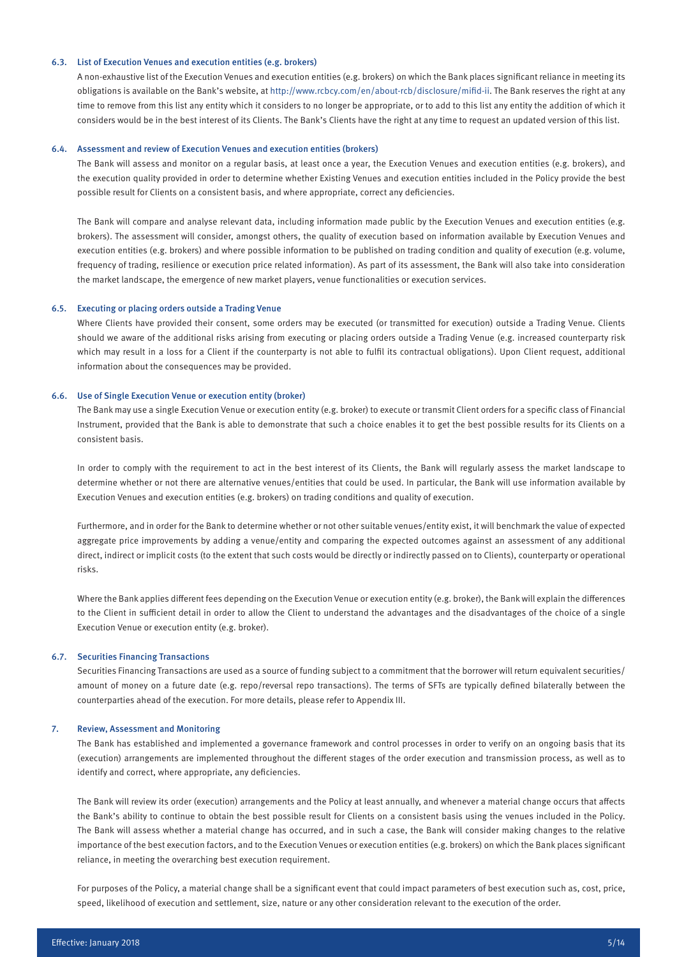# 6.3. List of Execution Venues and execution entities (e.g. brokers)

A non-exhaustive list of the Execution Venues and execution entities (e.g. brokers) on which the Bank places significant reliance in meeting its obligations is available on the Bank's website, at http://www.rcbcy.com/en/about-rcb/disclosure/mifid-ii. The Bank reserves the right at any time to remove from this list any entity which it considers to no longer be appropriate, or to add to this list any entity the addition of which it considers would be in the best interest of its Clients. The Bank's Clients have the right at any time to request an updated version of this list.

#### 6.4. Assessment and review of Execution Venues and execution entities (brokers)

The Bank will assess and monitor on a regular basis, at least once a year, the Execution Venues and execution entities (e.g. brokers), and the execution quality provided in order to determine whether Existing Venues and execution entities included in the Policy provide the best possible result for Clients on a consistent basis, and where appropriate, correct any deficiencies.

The Bank will compare and analyse relevant data, including information made public by the Execution Venues and execution entities (e.g. brokers). The assessment will consider, amongst others, the quality of execution based on information available by Execution Venues and execution entities (e.g. brokers) and where possible information to be published on trading condition and quality of execution (e.g. volume, frequency of trading, resilience or execution price related information). As part of its assessment, the Bank will also take into consideration the market landscape, the emergence of new market players, venue functionalities or execution services.

#### 6.5. Executing or placing orders outside a Trading Venue

Where Clients have provided their consent, some orders may be executed (or transmitted for execution) outside a Trading Venue. Clients should we aware of the additional risks arising from executing or placing orders outside a Trading Venue (e.g. increased counterparty risk which may result in a loss for a Client if the counterparty is not able to fulfil its contractual obligations). Upon Client request, additional information about the consequences may be provided.

#### 6.6. Use of Single Execution Venue or execution entity (broker)

The Bank may use a single Execution Venue or execution entity (e.g. broker) to execute or transmit Client orders for a specific class of Financial Instrument, provided that the Bank is able to demonstrate that such a choice enables it to get the best possible results for its Clients on a consistent basis.

In order to comply with the requirement to act in the best interest of its Clients, the Bank will regularly assess the market landscape to determine whether or not there are alternative venues/entities that could be used. In particular, the Bank will use information available by Execution Venues and execution entities (e.g. brokers) on trading conditions and quality of execution.

Furthermore, and in order for the Bank to determine whether or not other suitable venues/entity exist, it will benchmark the value of expected aggregate price improvements by adding a venue/entity and comparing the expected outcomes against an assessment of any additional direct, indirect or implicit costs (to the extent that such costs would be directly or indirectly passed on to Clients), counterparty or operational risks.

Where the Bank applies different fees depending on the Execution Venue or execution entity (e.g. broker), the Bank will explain the differences to the Client in sufficient detail in order to allow the Client to understand the advantages and the disadvantages of the choice of a single Execution Venue or execution entity (e.g. broker).

#### 6.7. Securities Financing Transactions

Securities Financing Transactions are used as a source of funding subject to a commitment that the borrower will return equivalent securities/ amount of money on a future date (e.g. repo/reversal repo transactions). The terms of SFTs are typically defined bilaterally between the counterparties ahead of the execution. For more details, please refer to Appendix III.

#### 7. Review, Assessment and Monitoring

The Bank has established and implemented a governance framework and control processes in order to verify on an ongoing basis that its (execution) arrangements are implemented throughout the different stages of the order execution and transmission process, as well as to identify and correct, where appropriate, any deficiencies.

The Bank will review its order (execution) arrangements and the Policy at least annually, and whenever a material change occurs that affects the Bank's ability to continue to obtain the best possible result for Clients on a consistent basis using the venues included in the Policy. The Bank will assess whether a material change has occurred, and in such a case, the Bank will consider making changes to the relative importance of the best execution factors, and to the Execution Venues or execution entities (e.g. brokers) on which the Bank places significant reliance, in meeting the overarching best execution requirement.

For purposes of the Policy, a material change shall be a significant event that could impact parameters of best execution such as, cost, price, speed, likelihood of execution and settlement, size, nature or any other consideration relevant to the execution of the order.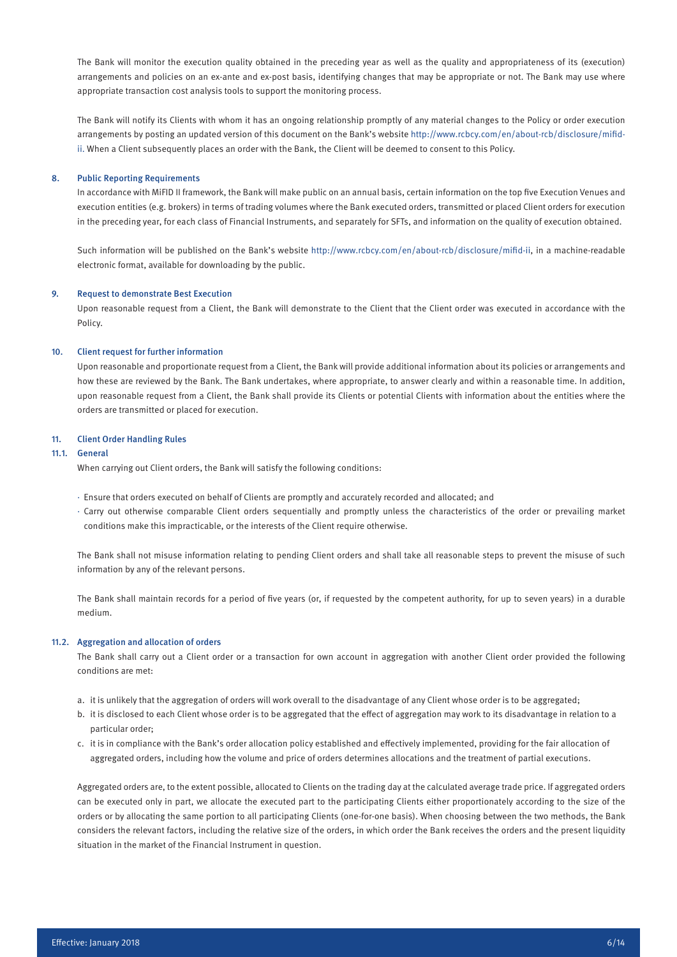The Bank will monitor the execution quality obtained in the preceding year as well as the quality and appropriateness of its (execution) arrangements and policies on an ex-ante and ex-post basis, identifying changes that may be appropriate or not. The Bank may use where appropriate transaction cost analysis tools to support the monitoring process.

The Bank will notify its Clients with whom it has an ongoing relationship promptly of any material changes to the Policy or order execution arrangements by posting an updated version of this document on the Bank's website http://www.rcbcy.com/en/about-rcb/disclosure/mifidii. When a Client subsequently places an order with the Bank, the Client will be deemed to consent to this Policy.

#### 8. Public Reporting Requirements

In accordance with MiFID II framework, the Bank will make public on an annual basis, certain information on the top five Execution Venues and execution entities (e.g. brokers) in terms of trading volumes where the Bank executed orders, transmitted or placed Client orders for execution in the preceding year, for each class of Financial Instruments, and separately for SFTs, and information on the quality of execution obtained.

Such information will be published on the Bank's website http://www.rcbcy.com/en/about-rcb/disclosure/mifid-ii, in a machine-readable electronic format, available for downloading by the public.

# 9. Request to demonstrate Best Execution

Upon reasonable request from a Client, the Bank will demonstrate to the Client that the Client order was executed in accordance with the Policy.

#### 10. Client request for further information

Upon reasonable and proportionate request from a Client, the Bank will provide additional information about its policies or arrangements and how these are reviewed by the Bank. The Bank undertakes, where appropriate, to answer clearly and within a reasonable time. In addition, upon reasonable request from a Client, the Bank shall provide its Clients or potential Clients with information about the entities where the orders are transmitted or placed for execution.

#### 11. Client Order Handling Rules

# 11.1. General

When carrying out Client orders, the Bank will satisfy the following conditions:

- · Ensure that orders executed on behalf of Clients are promptly and accurately recorded and allocated; and
- · Carry out otherwise comparable Client orders sequentially and promptly unless the characteristics of the order or prevailing market conditions make this impracticable, or the interests of the Client require otherwise.

The Bank shall not misuse information relating to pending Client orders and shall take all reasonable steps to prevent the misuse of such information by any of the relevant persons.

The Bank shall maintain records for a period of five years (or, if requested by the competent authority, for up to seven years) in a durable medium.

# 11.2. Aggregation and allocation of orders

The Bank shall carry out a Client order or a transaction for own account in aggregation with another Client order provided the following conditions are met:

- a. it is unlikely that the aggregation of orders will work overall to the disadvantage of any Client whose order is to be aggregated;
- b. it is disclosed to each Client whose order is to be aggregated that the effect of aggregation may work to its disadvantage in relation to a particular order;
- c. it is in compliance with the Bank's order allocation policy established and effectively implemented, providing for the fair allocation of aggregated orders, including how the volume and price of orders determines allocations and the treatment of partial executions.

Aggregated orders are, to the extent possible, allocated to Clients on the trading day at the calculated average trade price. If aggregated orders can be executed only in part, we allocate the executed part to the participating Clients either proportionately according to the size of the orders or by allocating the same portion to all participating Clients (one-for-one basis). When choosing between the two methods, the Bank considers the relevant factors, including the relative size of the orders, in which order the Bank receives the orders and the present liquidity situation in the market of the Financial Instrument in question.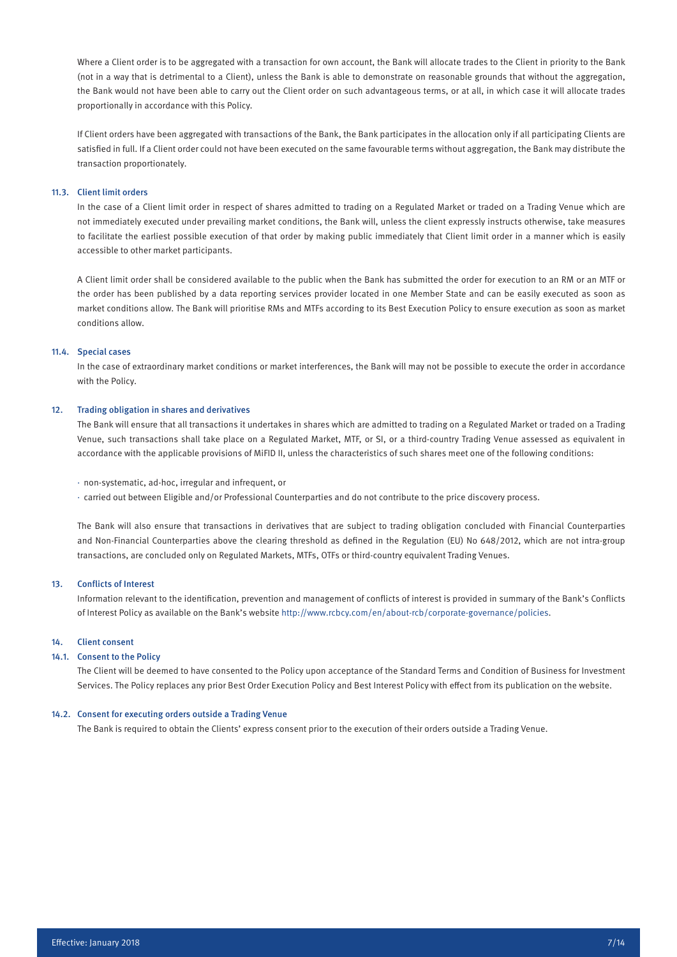Where a Client order is to be aggregated with a transaction for own account, the Bank will allocate trades to the Client in priority to the Bank (not in a way that is detrimental to a Client), unless the Bank is able to demonstrate on reasonable grounds that without the aggregation, the Bank would not have been able to carry out the Client order on such advantageous terms, or at all, in which case it will allocate trades proportionally in accordance with this Policy.

If Client orders have been aggregated with transactions of the Bank, the Bank participates in the allocation only if all participating Clients are satisfied in full. If a Client order could not have been executed on the same favourable terms without aggregation, the Bank may distribute the transaction proportionately.

# 11.3. Client limit orders

In the case of a Client limit order in respect of shares admitted to trading on a Regulated Market or traded on a Trading Venue which are not immediately executed under prevailing market conditions, the Bank will, unless the client expressly instructs otherwise, take measures to facilitate the earliest possible execution of that order by making public immediately that Client limit order in a manner which is easily accessible to other market participants.

A Client limit order shall be considered available to the public when the Bank has submitted the order for execution to an RM or an MTF or the order has been published by a data reporting services provider located in one Member State and can be easily executed as soon as market conditions allow. The Bank will prioritise RMs and MTFs according to its Best Execution Policy to ensure execution as soon as market conditions allow.

#### 11.4. Special cases

In the case of extraordinary market conditions or market interferences, the Bank will may not be possible to execute the order in accordance with the Policy.

#### 12. Trading obligation in shares and derivatives

The Bank will ensure that all transactions it undertakes in shares which are admitted to trading on a Regulated Market or traded on a Trading Venue, such transactions shall take place on a Regulated Market, MTF, or SI, or a third-country Trading Venue assessed as equivalent in accordance with the applicable provisions of MiFID II, unless the characteristics of such shares meet one of the following conditions:

- · non-systematic, ad-hoc, irregular and infrequent, or
- · carried out between Eligible and/or Professional Counterparties and do not contribute to the price discovery process.

The Bank will also ensure that transactions in derivatives that are subject to trading obligation concluded with Financial Counterparties and Non-Financial Counterparties above the clearing threshold as defined in the Regulation (EU) No 648/2012, which are not intra-group transactions, are concluded only on Regulated Markets, MTFs, OTFs or third-country equivalent Trading Venues.

#### 13. Conflicts of Interest

Information relevant to the identification, prevention and management of conflicts of interest is provided in summary of the Bank's Conflicts of Interest Policy as available on the Bank's website http://www.rcbcy.com/en/about-rcb/corporate-governance/policies.

#### 14. Client consent

# 14.1. Consent to the Policy

The Client will be deemed to have consented to the Policy upon acceptance of the Standard Terms and Condition of Business for Investment Services. The Policy replaces any prior Best Order Execution Policy and Best Interest Policy with effect from its publication on the website.

# 14.2. Consent for executing orders outside a Trading Venue

The Bank is required to obtain the Clients' express consent prior to the execution of their orders outside a Trading Venue.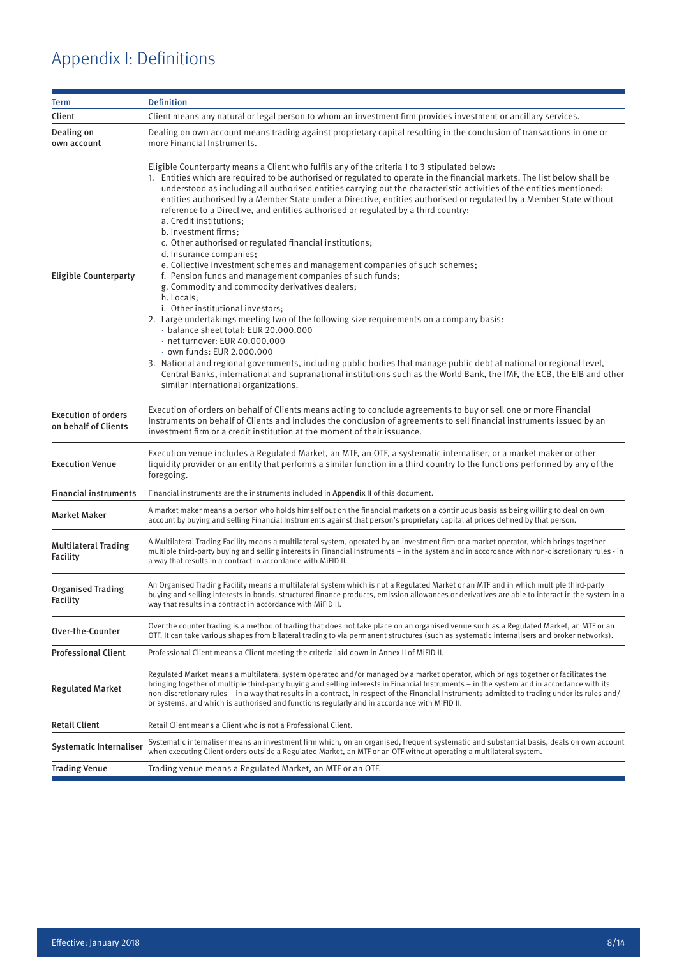# Appendix I: Definitions

| <b>Term</b>                                        | <b>Definition</b>                                                                                                                                                                                                                                                                                                                                                                                                                                                                                                                                                                                                                                                                                                                                                                                                                                                                                                                                                                                                                                                                                                                                                                                                                                                                                                                                                                                                                                              |  |  |  |  |  |  |
|----------------------------------------------------|----------------------------------------------------------------------------------------------------------------------------------------------------------------------------------------------------------------------------------------------------------------------------------------------------------------------------------------------------------------------------------------------------------------------------------------------------------------------------------------------------------------------------------------------------------------------------------------------------------------------------------------------------------------------------------------------------------------------------------------------------------------------------------------------------------------------------------------------------------------------------------------------------------------------------------------------------------------------------------------------------------------------------------------------------------------------------------------------------------------------------------------------------------------------------------------------------------------------------------------------------------------------------------------------------------------------------------------------------------------------------------------------------------------------------------------------------------------|--|--|--|--|--|--|
| Client                                             | Client means any natural or legal person to whom an investment firm provides investment or ancillary services.                                                                                                                                                                                                                                                                                                                                                                                                                                                                                                                                                                                                                                                                                                                                                                                                                                                                                                                                                                                                                                                                                                                                                                                                                                                                                                                                                 |  |  |  |  |  |  |
| Dealing on<br>own account                          | Dealing on own account means trading against proprietary capital resulting in the conclusion of transactions in one or<br>more Financial Instruments.                                                                                                                                                                                                                                                                                                                                                                                                                                                                                                                                                                                                                                                                                                                                                                                                                                                                                                                                                                                                                                                                                                                                                                                                                                                                                                          |  |  |  |  |  |  |
| <b>Eligible Counterparty</b>                       | Eligible Counterparty means a Client who fulfils any of the criteria 1 to 3 stipulated below:<br>1. Entities which are required to be authorised or regulated to operate in the financial markets. The list below shall be<br>understood as including all authorised entities carrying out the characteristic activities of the entities mentioned:<br>entities authorised by a Member State under a Directive, entities authorised or regulated by a Member State without<br>reference to a Directive, and entities authorised or regulated by a third country:<br>a. Credit institutions:<br>b. Investment firms:<br>c. Other authorised or regulated financial institutions;<br>d. Insurance companies;<br>e. Collective investment schemes and management companies of such schemes;<br>f. Pension funds and management companies of such funds;<br>g. Commodity and commodity derivatives dealers;<br>h. Locals;<br>i. Other institutional investors;<br>2. Large undertakings meeting two of the following size requirements on a company basis:<br>balance sheet total: EUR 20.000.000<br>$\cdot$ net turnover: EUR 40.000.000<br>· own funds: EUR 2.000.000<br>3. National and regional governments, including public bodies that manage public debt at national or regional level,<br>Central Banks, international and supranational institutions such as the World Bank, the IMF, the ECB, the EIB and other<br>similar international organizations. |  |  |  |  |  |  |
| <b>Execution of orders</b><br>on behalf of Clients | Execution of orders on behalf of Clients means acting to conclude agreements to buy or sell one or more Financial<br>Instruments on behalf of Clients and includes the conclusion of agreements to sell financial instruments issued by an<br>investment firm or a credit institution at the moment of their issuance.                                                                                                                                                                                                                                                                                                                                                                                                                                                                                                                                                                                                                                                                                                                                                                                                                                                                                                                                                                                                                                                                                                                                         |  |  |  |  |  |  |
| <b>Execution Venue</b>                             | Execution venue includes a Regulated Market, an MTF, an OTF, a systematic internaliser, or a market maker or other<br>liquidity provider or an entity that performs a similar function in a third country to the functions performed by any of the<br>foregoing.                                                                                                                                                                                                                                                                                                                                                                                                                                                                                                                                                                                                                                                                                                                                                                                                                                                                                                                                                                                                                                                                                                                                                                                               |  |  |  |  |  |  |
| <b>Financial instruments</b>                       | Financial instruments are the instruments included in Appendix II of this document.                                                                                                                                                                                                                                                                                                                                                                                                                                                                                                                                                                                                                                                                                                                                                                                                                                                                                                                                                                                                                                                                                                                                                                                                                                                                                                                                                                            |  |  |  |  |  |  |
| <b>Market Maker</b>                                | A market maker means a person who holds himself out on the financial markets on a continuous basis as being willing to deal on own<br>account by buying and selling Financial Instruments against that person's proprietary capital at prices defined by that person.                                                                                                                                                                                                                                                                                                                                                                                                                                                                                                                                                                                                                                                                                                                                                                                                                                                                                                                                                                                                                                                                                                                                                                                          |  |  |  |  |  |  |
| <b>Multilateral Trading</b><br><b>Facility</b>     | A Multilateral Trading Facility means a multilateral system, operated by an investment firm or a market operator, which brings together<br>multiple third-party buying and selling interests in Financial Instruments – in the system and in accordance with non-discretionary rules - in<br>a way that results in a contract in accordance with MiFID II.                                                                                                                                                                                                                                                                                                                                                                                                                                                                                                                                                                                                                                                                                                                                                                                                                                                                                                                                                                                                                                                                                                     |  |  |  |  |  |  |
| <b>Organised Trading</b><br><b>Facility</b>        | An Organised Trading Facility means a multilateral system which is not a Regulated Market or an MTF and in which multiple third-party<br>buying and selling interests in bonds, structured finance products, emission allowances or derivatives are able to interact in the system in a<br>way that results in a contract in accordance with MiFID II.                                                                                                                                                                                                                                                                                                                                                                                                                                                                                                                                                                                                                                                                                                                                                                                                                                                                                                                                                                                                                                                                                                         |  |  |  |  |  |  |
| Over-the-Counter                                   | Over the counter trading is a method of trading that does not take place on an organised venue such as a Regulated Market, an MTF or an<br>OTF. It can take various shapes from bilateral trading to via permanent structures (such as systematic internalisers and broker networks).                                                                                                                                                                                                                                                                                                                                                                                                                                                                                                                                                                                                                                                                                                                                                                                                                                                                                                                                                                                                                                                                                                                                                                          |  |  |  |  |  |  |
| <b>Professional Client</b>                         | Professional Client means a Client meeting the criteria laid down in Annex II of MiFID II.                                                                                                                                                                                                                                                                                                                                                                                                                                                                                                                                                                                                                                                                                                                                                                                                                                                                                                                                                                                                                                                                                                                                                                                                                                                                                                                                                                     |  |  |  |  |  |  |
| <b>Regulated Market</b>                            | Regulated Market means a multilateral system operated and/or managed by a market operator, which brings together or facilitates the<br>bringing together of multiple third-party buying and selling interests in Financial Instruments – in the system and in accordance with its<br>non-discretionary rules – in a way that results in a contract, in respect of the Financial Instruments admitted to trading under its rules and/<br>or systems, and which is authorised and functions regularly and in accordance with MiFID II.                                                                                                                                                                                                                                                                                                                                                                                                                                                                                                                                                                                                                                                                                                                                                                                                                                                                                                                           |  |  |  |  |  |  |
| <b>Retail Client</b>                               | Retail Client means a Client who is not a Professional Client.                                                                                                                                                                                                                                                                                                                                                                                                                                                                                                                                                                                                                                                                                                                                                                                                                                                                                                                                                                                                                                                                                                                                                                                                                                                                                                                                                                                                 |  |  |  |  |  |  |
| Systematic Internaliser                            | Systematic internaliser means an investment firm which, on an organised, frequent systematic and substantial basis, deals on own account<br>when executing Client orders outside a Regulated Market, an MTF or an OTF without operating a multilateral system.                                                                                                                                                                                                                                                                                                                                                                                                                                                                                                                                                                                                                                                                                                                                                                                                                                                                                                                                                                                                                                                                                                                                                                                                 |  |  |  |  |  |  |
| <b>Trading Venue</b>                               | Trading venue means a Regulated Market, an MTF or an OTF.                                                                                                                                                                                                                                                                                                                                                                                                                                                                                                                                                                                                                                                                                                                                                                                                                                                                                                                                                                                                                                                                                                                                                                                                                                                                                                                                                                                                      |  |  |  |  |  |  |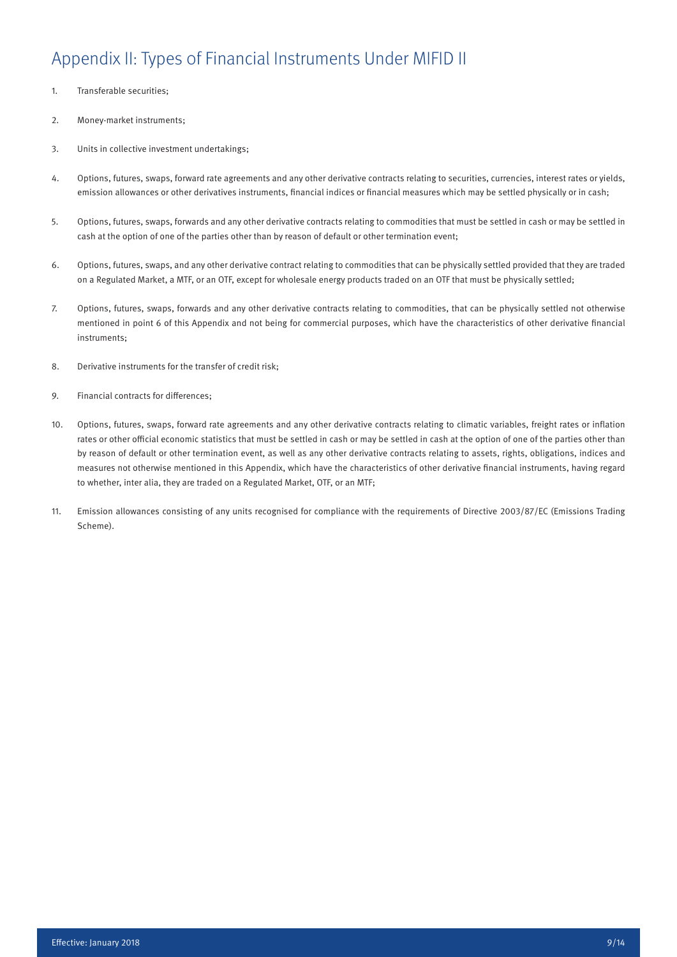# Appendix II: Types 0f Financial Instruments Under MIFID II

- 1. Transferable securities;
- 2. Money-market instruments;
- 3. Units in collective investment undertakings;
- 4. Options, futures, swaps, forward rate agreements and any other derivative contracts relating to securities, currencies, interest rates or yields, emission allowances or other derivatives instruments, financial indices or financial measures which may be settled physically or in cash;
- 5. Options, futures, swaps, forwards and any other derivative contracts relating to commodities that must be settled in cash or may be settled in cash at the option of one of the parties other than by reason of default or other termination event;
- 6. Options, futures, swaps, and any other derivative contract relating to commodities that can be physically settled provided that they are traded on a Regulated Market, a MTF, or an OTF, except for wholesale energy products traded on an OTF that must be physically settled;
- 7. Options, futures, swaps, forwards and any other derivative contracts relating to commodities, that can be physically settled not otherwise mentioned in point 6 of this Appendix and not being for commercial purposes, which have the characteristics of other derivative financial instruments;
- 8. Derivative instruments for the transfer of credit risk;
- 9. Financial contracts for differences;
- 10. Options, futures, swaps, forward rate agreements and any other derivative contracts relating to climatic variables, freight rates or inflation rates or other official economic statistics that must be settled in cash or may be settled in cash at the option of one of the parties other than by reason of default or other termination event, as well as any other derivative contracts relating to assets, rights, obligations, indices and measures not otherwise mentioned in this Appendix, which have the characteristics of other derivative financial instruments, having regard to whether, inter alia, they are traded on a Regulated Market, OTF, or an MTF;
- 11. Emission allowances consisting of any units recognised for compliance with the requirements of Directive 2003/87/EC (Emissions Trading Scheme).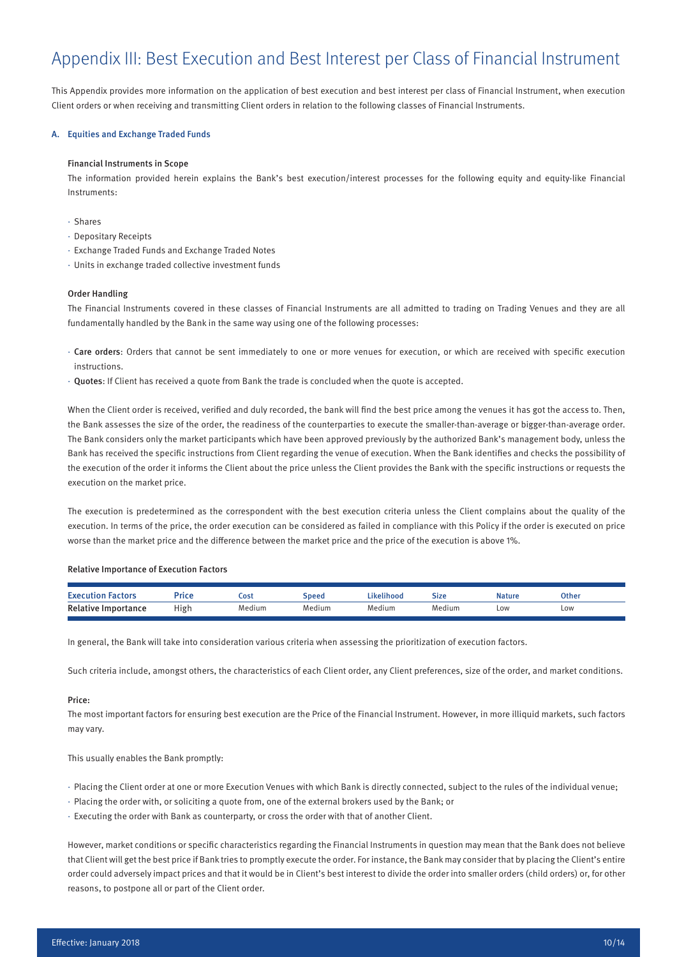# Appendix III: Best Execution and Best Interest per Class of Financial Instrument

This Appendix provides more information on the application of best execution and best interest per class of Financial Instrument, when execution Client orders or when receiving and transmitting Client orders in relation to the following classes of Financial Instruments.

# A. Equities and Exchange Traded Funds

# Financial Instruments in Scope

The information provided herein explains the Bank's best execution/interest processes for the following equity and equity-like Financial Instruments:

- · Shares
- · Depositary Receipts
- · Exchange Traded Funds and Exchange Traded Notes
- · Units in exchange traded collective investment funds

# Order Handling

The Financial Instruments covered in these classes of Financial Instruments are all admitted to trading on Trading Venues and they are all fundamentally handled by the Bank in the same way using one of the following processes:

- · Care orders: Orders that cannot be sent immediately to one or more venues for execution, or which are received with specific execution instructions.
- · Quotes: If Client has received a quote from Bank the trade is concluded when the quote is accepted.

When the Client order is received, verified and duly recorded, the bank will find the best price among the venues it has got the access to. Then, the Bank assesses the size of the order, the readiness of the counterparties to execute the smaller-than-average or bigger-than-average order. The Bank considers only the market participants which have been approved previously by the authorized Bank's management body, unless the Bank has received the specific instructions from Client regarding the venue of execution. When the Bank identifies and checks the possibility of the execution of the order it informs the Client about the price unless the Client provides the Bank with the specific instructions or requests the execution on the market price.

The execution is predetermined as the correspondent with the best execution criteria unless the Client complains about the quality of the execution. In terms of the price, the order execution can be considered as failed in compliance with this Policy if the order is executed on price worse than the market price and the difference between the market price and the price of the execution is above 1%.

#### Relative Importance of Execution Factors

| Executi<br>Factors         | Price | Cost   | Speed  | Likelihood | Size   | Natur | Other |
|----------------------------|-------|--------|--------|------------|--------|-------|-------|
| <b>Relative Importance</b> | High  | Medium | Medium | Medium     | Medium | Low   | LOW   |

In general, the Bank will take into consideration various criteria when assessing the prioritization of execution factors.

Such criteria include, amongst others, the characteristics of each Client order, any Client preferences, size of the order, and market conditions.

#### Price:

The most important factors for ensuring best execution are the Price of the Financial Instrument. However, in more illiquid markets, such factors may vary.

This usually enables the Bank promptly:

- · Placing the Client order at one or more Execution Venues with which Bank is directly connected, subject to the rules of the individual venue;
- · Placing the order with, or soliciting a quote from, one of the external brokers used by the Bank; or
- · Executing the order with Bank as counterparty, or cross the order with that of another Client.

However, market conditions or specific characteristics regarding the Financial Instruments in question may mean that the Bank does not believe that Client will get the best price if Bank tries to promptly execute the order. For instance, the Bank may consider that by placing the Client's entire order could adversely impact prices and that it would be in Client's best interest to divide the order into smaller orders (child orders) or, for other reasons, to postpone all or part of the Client order.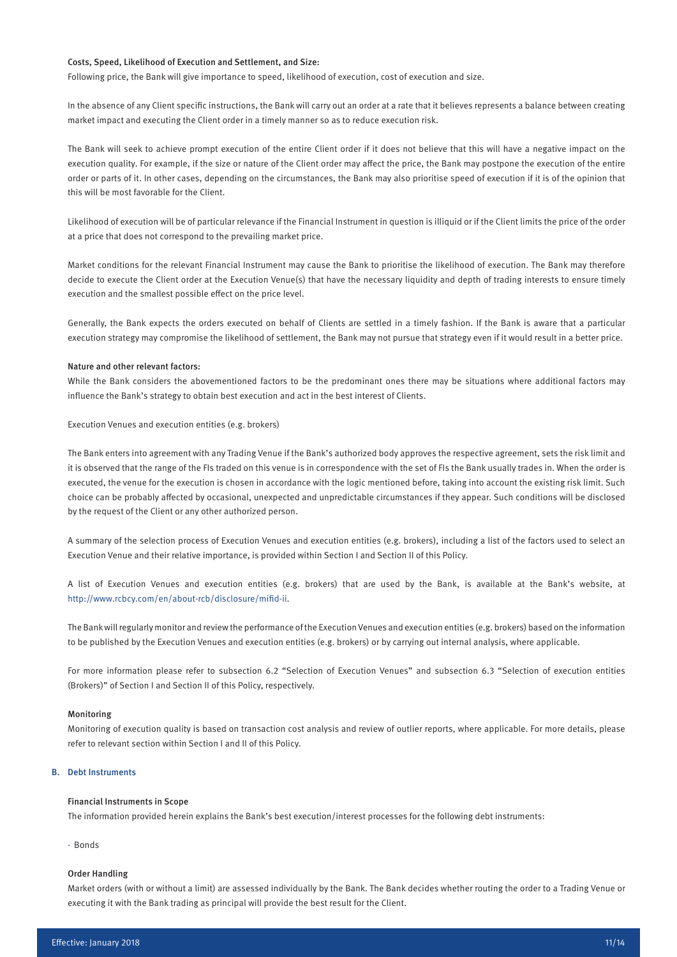# Costs, Speed, Likelihood of Execution and Settlement, and Size:

Following price, the Bank will give importance to speed, likelihood of execution, cost of execution and size.

In the absence of any Client specific instructions, the Bank will carry out an order at a rate that it believes represents a balance between creating market impact and executing the Client order in a timely manner so as to reduce execution risk.

The Bank will seek to achieve prompt execution of the entire Client order if it does not believe that this will have a negative impact on the execution quality. For example, if the size or nature of the Client order may affect the price, the Bank may postpone the execution of the entire order or parts of it. In other cases, depending on the circumstances, the Bank may also prioritise speed of execution if it is of the opinion that this will be most favorable for the Client.

Likelihood of execution will be of particular relevance if the Financial Instrument in question is illiquid or if the Client limits the price of the order at a price that does not correspond to the prevailing market price.

Market conditions for the relevant Financial Instrument may cause the Bank to prioritise the likelihood of execution. The Bank may therefore decide to execute the Client order at the Execution Venue(s) that have the necessary liquidity and depth of trading interests to ensure timely execution and the smallest possible effect on the price level.

Generally, the Bank expects the orders executed on behalf of Clients are settled in a timely fashion. If the Bank is aware that a particular execution strategy may compromise the likelihood of settlement, the Bank may not pursue that strategy even if it would result in a better price.

# Nature and other relevant factors:

While the Bank considers the abovementioned factors to be the predominant ones there may be situations where additional factors may influence the Bank's strategy to obtain best execution and act in the best interest of Clients.

Execution Venues and execution entities (e.g. brokers)

The Bank enters into agreement with any Trading Venue if the Bank's authorized body approves the respective agreement, sets the risk limit and it is observed that the range of the FIs traded on this venue is in correspondence with the set of FIs the Bank usually trades in. When the order is executed, the venue for the execution is chosen in accordance with the logic mentioned before, taking into account the existing risk limit. Such choice can be probably affected by occasional, unexpected and unpredictable circumstances if they appear. Such conditions will be disclosed by the request of the Client or any other authorized person.

A summary of the selection process of Execution Venues and execution entities (e.g. brokers), including a list of the factors used to select an Execution Venue and their relative importance, is provided within Section I and Section II of this Policy.

A list of Execution Venues and execution entities (e.g. brokers) that are used by the Bank, is available at the Bank's website, at http://www.rcbcy.com/en/about-rcb/disclosure/mifid-ii.

The Bank will regularly monitor and review the performance of the Execution Venues and execution entities (e.g. brokers) based on the information to be published by the Execution Venues and execution entities (e.g. brokers) or by carrying out internal analysis, where applicable.

For more information please refer to subsection 6.2 "Selection of Execution Venues" and subsection 6.3 "Selection of execution entities (Brokers)" of Section I and Section II of this Policy, respectively.

# Monitoring

Monitoring of execution quality is based on transaction cost analysis and review of outlier reports, where applicable. For more details, please refer to relevant section within Section I and II of this Policy.

#### B. Debt Instruments

# Financial Instruments in Scope

The information provided herein explains the Bank's best execution/interest processes for the following debt instruments:

· Bonds

# Order Handling

Market orders (with or without a limit) are assessed individually by the Bank. The Bank decides whether routing the order to a Trading Venue or executing it with the Bank trading as principal will provide the best result for the Client.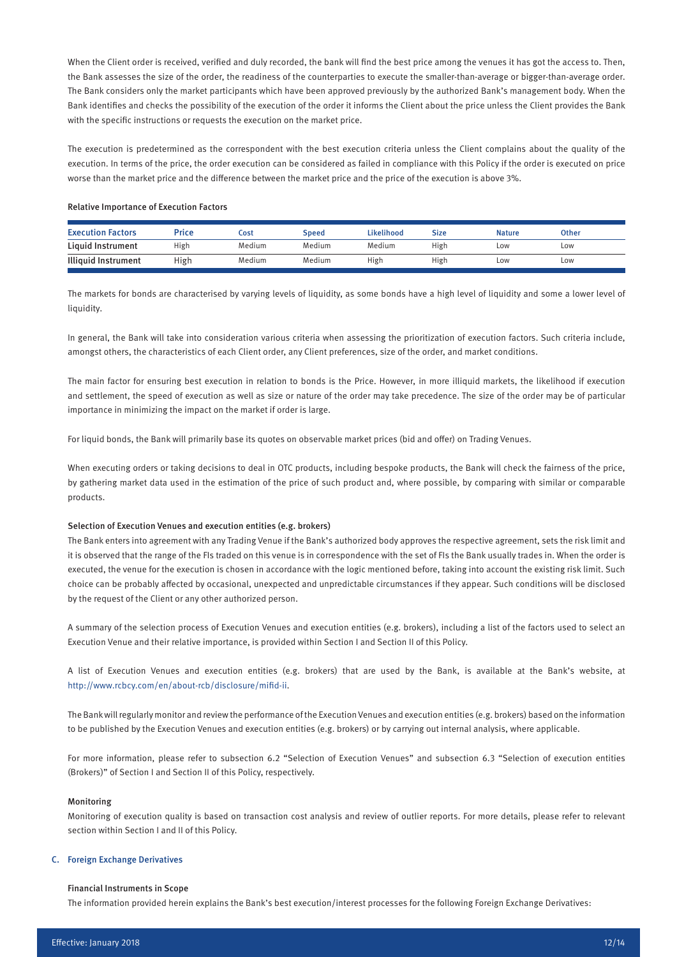When the Client order is received, verified and duly recorded, the bank will find the best price among the venues it has got the access to. Then, the Bank assesses the size of the order, the readiness of the counterparties to execute the smaller-than-average or bigger-than-average order. The Bank considers only the market participants which have been approved previously by the authorized Bank's management body. When the Bank identifies and checks the possibility of the execution of the order it informs the Client about the price unless the Client provides the Bank with the specific instructions or requests the execution on the market price.

The execution is predetermined as the correspondent with the best execution criteria unless the Client complains about the quality of the execution. In terms of the price, the order execution can be considered as failed in compliance with this Policy if the order is executed on price worse than the market price and the difference between the market price and the price of the execution is above 3%.

#### Relative Importance of Execution Factors

| <b>Execution Factors</b>   | Price | Cost   | Speed  | Likelihood | Size | <b>Nature</b> | <b>Other</b> |
|----------------------------|-------|--------|--------|------------|------|---------------|--------------|
| Liquid Instrument          | High  | Medium | Medium | Medium     | High | Low           | Low          |
| <b>Illiquid Instrument</b> | High  | Medium | Medium | High       | High | LOW           | Low          |
|                            |       |        |        |            |      |               |              |

The markets for bonds are characterised by varying levels of liquidity, as some bonds have a high level of liquidity and some a lower level of liquidity.

In general, the Bank will take into consideration various criteria when assessing the prioritization of execution factors. Such criteria include, amongst others, the characteristics of each Client order, any Client preferences, size of the order, and market conditions.

The main factor for ensuring best execution in relation to bonds is the Price. However, in more illiquid markets, the likelihood if execution and settlement, the speed of execution as well as size or nature of the order may take precedence. The size of the order may be of particular importance in minimizing the impact on the market if order is large.

For liquid bonds, the Bank will primarily base its quotes on observable market prices (bid and offer) on Trading Venues.

When executing orders or taking decisions to deal in OTC products, including bespoke products, the Bank will check the fairness of the price, by gathering market data used in the estimation of the price of such product and, where possible, by comparing with similar or comparable products.

# Selection of Execution Venues and execution entities (e.g. brokers)

The Bank enters into agreement with any Trading Venue if the Bank's authorized body approves the respective agreement, sets the risk limit and it is observed that the range of the FIs traded on this venue is in correspondence with the set of FIs the Bank usually trades in. When the order is executed, the venue for the execution is chosen in accordance with the logic mentioned before, taking into account the existing risk limit. Such choice can be probably affected by occasional, unexpected and unpredictable circumstances if they appear. Such conditions will be disclosed by the request of the Client or any other authorized person.

A summary of the selection process of Execution Venues and execution entities (e.g. brokers), including a list of the factors used to select an Execution Venue and their relative importance, is provided within Section I and Section II of this Policy.

A list of Execution Venues and execution entities (e.g. brokers) that are used by the Bank, is available at the Bank's website, at http://www.rcbcy.com/en/about-rcb/disclosure/mifid-ii.

The Bank will regularly monitor and review the performance of the Execution Venues and execution entities (e.g. brokers) based on the information to be published by the Execution Venues and execution entities (e.g. brokers) or by carrying out internal analysis, where applicable.

For more information, please refer to subsection 6.2 "Selection of Execution Venues" and subsection 6.3 "Selection of execution entities (Brokers)" of Section I and Section II of this Policy, respectively.

#### Monitoring

Monitoring of execution quality is based on transaction cost analysis and review of outlier reports. For more details, please refer to relevant section within Section I and II of this Policy.

#### C. Foreign Exchange Derivatives

#### Financial Instruments in Scope

The information provided herein explains the Bank's best execution/interest processes for the following Foreign Exchange Derivatives: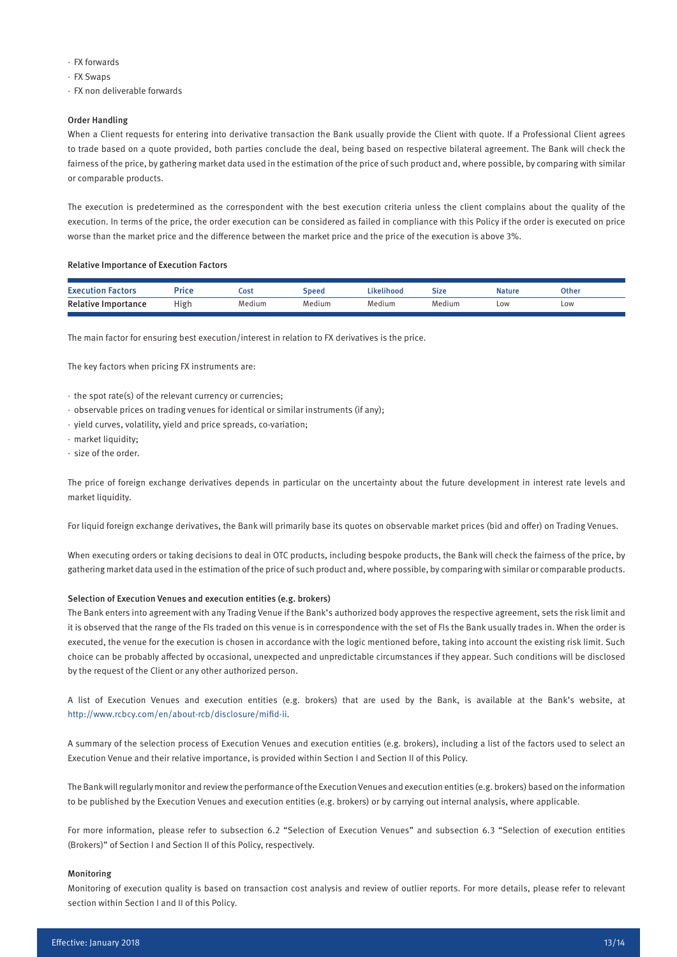- · FX forwards
- · FX Swaps
- · FX non deliverable forwards

# Order Handling

When a Client requests for entering into derivative transaction the Bank usually provide the Client with quote. If a Professional Client agrees to trade based on a quote provided, both parties conclude the deal, being based on respective bilateral agreement. The Bank will check the fairness of the price, by gathering market data used in the estimation of the price of such product and, where possible, by comparing with similar or comparable products.

The execution is predetermined as the correspondent with the best execution criteria unless the client complains about the quality of the execution. In terms of the price, the order execution can be considered as failed in compliance with this Policy if the order is executed on price worse than the market price and the difference between the market price and the price of the execution is above 3%.

# Relative Importance of Execution Factors

| <b>Exert</b><br>Factors    | Price | Cost   | Speed  | Likelihood | Size   | <b>Nature</b> | Other |
|----------------------------|-------|--------|--------|------------|--------|---------------|-------|
| <b>Relative Importance</b> | High  | Medium | Medium | Medium     | Medium | Low           | Low   |
|                            |       |        |        |            |        |               |       |

The main factor for ensuring best execution/interest in relation to FX derivatives is the price.

The key factors when pricing FX instruments are:

- · the spot rate(s) of the relevant currency or currencies;
- · observable prices on trading venues for identical or similar instruments (if any);
- · yield curves, volatility, yield and price spreads, co-variation;
- · market liquidity;
- · size of the order.

The price of foreign exchange derivatives depends in particular on the uncertainty about the future development in interest rate levels and market liquidity.

For liquid foreign exchange derivatives, the Bank will primarily base its quotes on observable market prices (bid and offer) on Trading Venues.

When executing orders or taking decisions to deal in OTC products, including bespoke products, the Bank will check the fairness of the price, by gathering market data used in the estimation of the price of such product and, where possible, by comparing with similar or comparable products.

#### Selection of Execution Venues and execution entities (e.g. brokers)

The Bank enters into agreement with any Trading Venue if the Bank's authorized body approves the respective agreement, sets the risk limit and it is observed that the range of the FIs traded on this venue is in correspondence with the set of FIs the Bank usually trades in. When the order is executed, the venue for the execution is chosen in accordance with the logic mentioned before, taking into account the existing risk limit. Such choice can be probably affected by occasional, unexpected and unpredictable circumstances if they appear. Such conditions will be disclosed by the request of the Client or any other authorized person.

A list of Execution Venues and execution entities (e.g. brokers) that are used by the Bank, is available at the Bank's website, at http://www.rcbcy.com/en/about-rcb/disclosure/mifid-ii.

A summary of the selection process of Execution Venues and execution entities (e.g. brokers), including a list of the factors used to select an Execution Venue and their relative importance, is provided within Section I and Section II of this Policy.

The Bank will regularly monitor and review the performance of the Execution Venues and execution entities (e.g. brokers) based on the information to be published by the Execution Venues and execution entities (e.g. brokers) or by carrying out internal analysis, where applicable.

For more information, please refer to subsection 6.2 "Selection of Execution Venues" and subsection 6.3 "Selection of execution entities (Brokers)" of Section I and Section II of this Policy, respectively.

# Monitoring

Monitoring of execution quality is based on transaction cost analysis and review of outlier reports. For more details, please refer to relevant section within Section I and II of this Policy.